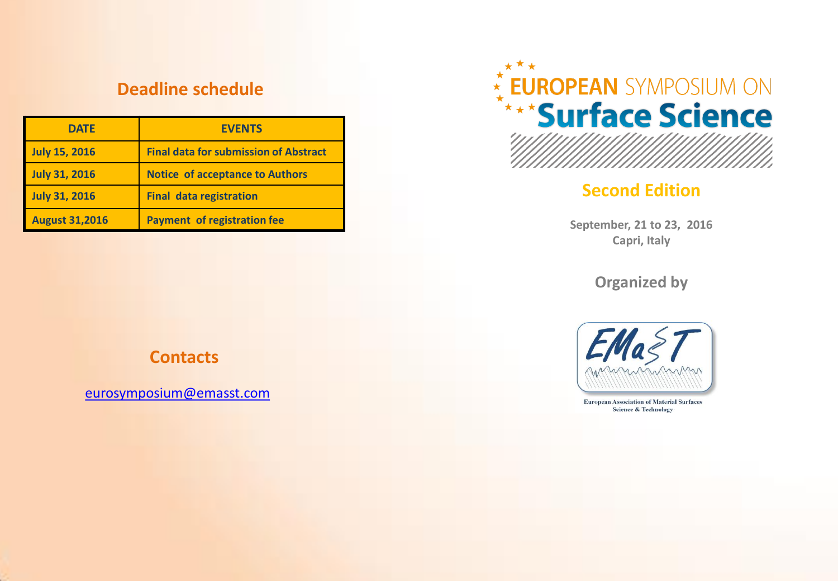## **Deadline schedule**

| <b>DATE</b>           | <b>EVENTS</b>                                |
|-----------------------|----------------------------------------------|
| <b>July 15, 2016</b>  | <b>Final data for submission of Abstract</b> |
| <b>July 31, 2016</b>  | <b>Notice of acceptance to Authors</b>       |
| <b>July 31, 2016</b>  | <b>Final data registration</b>               |
| <b>August 31,2016</b> | <b>Payment of registration fee</b>           |



# **Second Edition**

**September, 21 to 23, 2016 Capri, Italy**

**Organized by**



**European Association of Material Surfaces Science & Technology** 

## **Contacts**

[eurosymposium@emasst.com](mailto:Eurosymposium@emasst.com)